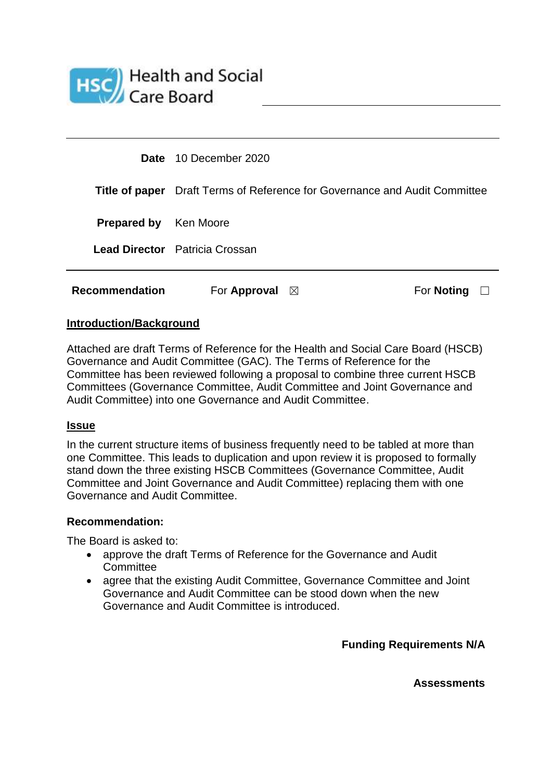

| <b>Recommendation</b>        | For Approval<br>$\bowtie$                                                         | For <b>Noting</b> |  |
|------------------------------|-----------------------------------------------------------------------------------|-------------------|--|
|                              | <b>Lead Director</b> Patricia Crossan                                             |                   |  |
| <b>Prepared by</b> Ken Moore |                                                                                   |                   |  |
|                              | <b>Title of paper</b> Draft Terms of Reference for Governance and Audit Committee |                   |  |
|                              | <b>Date</b> 10 December 2020                                                      |                   |  |

## **Introduction/Background**

Attached are draft Terms of Reference for the Health and Social Care Board (HSCB) Governance and Audit Committee (GAC). The Terms of Reference for the Committee has been reviewed following a proposal to combine three current HSCB Committees (Governance Committee, Audit Committee and Joint Governance and Audit Committee) into one Governance and Audit Committee.

## **Issue**

In the current structure items of business frequently need to be tabled at more than one Committee. This leads to duplication and upon review it is proposed to formally stand down the three existing HSCB Committees (Governance Committee, Audit Committee and Joint Governance and Audit Committee) replacing them with one Governance and Audit Committee.

## **Recommendation:**

The Board is asked to:

- approve the draft Terms of Reference for the Governance and Audit **Committee**
- agree that the existing Audit Committee, Governance Committee and Joint Governance and Audit Committee can be stood down when the new Governance and Audit Committee is introduced.

**Funding Requirements N/A**

**Assessments**